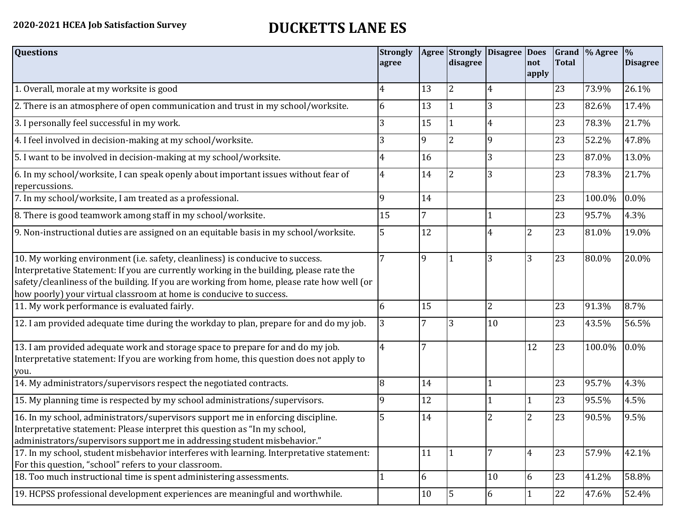## **2020-2021 HCEA Job Satisfaction Survey DUCKETTS LANE ES**

| <b>Questions</b>                                                                                                                                                                                                                                                                                                                               | <b>Strongly</b><br>agree |                | Agree Strongly<br>disagree | <b>Disagree Does</b> | not<br>apply   | <b>Total</b> | Grand  % Agree | $\frac{9}{6}$<br><b>Disagree</b> |
|------------------------------------------------------------------------------------------------------------------------------------------------------------------------------------------------------------------------------------------------------------------------------------------------------------------------------------------------|--------------------------|----------------|----------------------------|----------------------|----------------|--------------|----------------|----------------------------------|
| 1. Overall, morale at my worksite is good                                                                                                                                                                                                                                                                                                      | 4                        | 13             | $\overline{2}$             |                      |                | 23           | 73.9%          | 26.1%                            |
| 2. There is an atmosphere of open communication and trust in my school/worksite.                                                                                                                                                                                                                                                               | 6                        | 13             |                            | 3                    |                | 23           | 82.6%          | 17.4%                            |
| 3. I personally feel successful in my work.                                                                                                                                                                                                                                                                                                    | 3                        | 15             |                            |                      |                | 23           | 78.3%          | 21.7%                            |
| 4. I feel involved in decision-making at my school/worksite.                                                                                                                                                                                                                                                                                   | 3                        | 9              | $\overline{2}$             | 9                    |                | 23           | 52.2%          | 47.8%                            |
| 5. I want to be involved in decision-making at my school/worksite.                                                                                                                                                                                                                                                                             | 4                        | 16             |                            | 3                    |                | 23           | 87.0%          | 13.0%                            |
| 6. In my school/worksite, I can speak openly about important issues without fear of<br>repercussions.                                                                                                                                                                                                                                          | 4                        | 14             | 2                          |                      |                | 23           | 78.3%          | 21.7%                            |
| 7. In my school/worksite, I am treated as a professional.                                                                                                                                                                                                                                                                                      | $\mathbf{Q}$             | 14             |                            |                      |                | 23           | 100.0%         | 0.0%                             |
| 8. There is good teamwork among staff in my school/worksite.                                                                                                                                                                                                                                                                                   | 15                       | $\overline{7}$ |                            |                      |                | 23           | 95.7%          | 4.3%                             |
| 9. Non-instructional duties are assigned on an equitable basis in my school/worksite.                                                                                                                                                                                                                                                          | 5                        | 12             |                            | 4                    | $\overline{2}$ | 23           | 81.0%          | 19.0%                            |
| 10. My working environment (i.e. safety, cleanliness) is conducive to success.<br>Interpretative Statement: If you are currently working in the building, please rate the<br>safety/cleanliness of the building. If you are working from home, please rate how well (or<br>how poorly) your virtual classroom at home is conducive to success. |                          | 9              |                            | 3                    | 3              | 23           | 80.0%          | 20.0%                            |
| 11. My work performance is evaluated fairly.                                                                                                                                                                                                                                                                                                   | 6                        | 15             |                            | $\overline{2}$       |                | 23           | 91.3%          | 8.7%                             |
| 12. I am provided adequate time during the workday to plan, prepare for and do my job.                                                                                                                                                                                                                                                         | 3                        |                | 3                          | 10                   |                | 23           | 43.5%          | 56.5%                            |
| 13. I am provided adequate work and storage space to prepare for and do my job.<br>Interpretative statement: If you are working from home, this question does not apply to<br>you.                                                                                                                                                             | 4                        | $\overline{7}$ |                            |                      | 12             | 23           | 100.0%         | 0.0%                             |
| 14. My administrators/supervisors respect the negotiated contracts.                                                                                                                                                                                                                                                                            | 8                        | 14             |                            |                      |                | 23           | 95.7%          | 4.3%                             |
| 15. My planning time is respected by my school administrations/supervisors.                                                                                                                                                                                                                                                                    | 9                        | 12             |                            |                      | 1              | 23           | 95.5%          | 4.5%                             |
| 16. In my school, administrators/supervisors support me in enforcing discipline.<br>Interpretative statement: Please interpret this question as "In my school,<br>administrators/supervisors support me in addressing student misbehavior."                                                                                                    | 5                        | 14             |                            |                      | $\overline{2}$ | 23           | 90.5%          | 9.5%                             |
| 17. In my school, student misbehavior interferes with learning. Interpretative statement:<br>For this question, "school" refers to your classroom.                                                                                                                                                                                             |                          | 11             |                            | 7                    | $\overline{4}$ | 23           | 57.9%          | 42.1%                            |
| 18. Too much instructional time is spent administering assessments.                                                                                                                                                                                                                                                                            |                          | 6              |                            | 10                   | 6              | 23           | 41.2%          | 58.8%                            |
| 19. HCPSS professional development experiences are meaningful and worthwhile.                                                                                                                                                                                                                                                                  |                          | 10             | 5                          | 6                    | 1              | 22           | 47.6%          | 52.4%                            |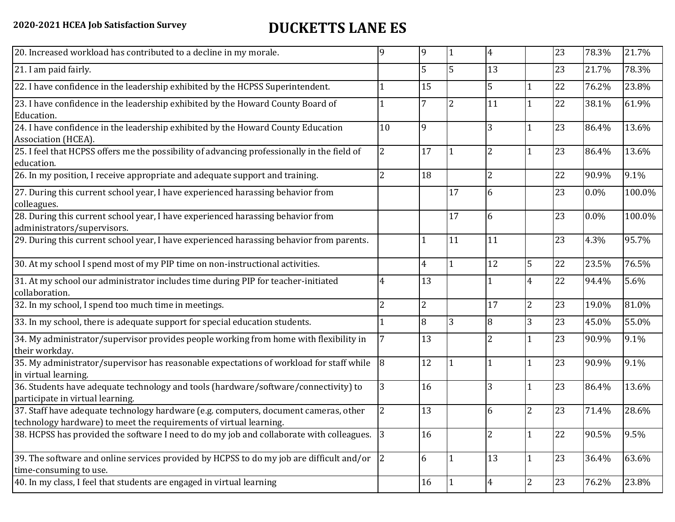## **2020-2021 HCEA Job Satisfaction Survey DUCKETTS LANE ES**

| 20. Increased workload has contributed to a decline in my morale.                                                                                          | q              | 9              |    | 4              |                | 23 | 78.3%   | 21.7%  |
|------------------------------------------------------------------------------------------------------------------------------------------------------------|----------------|----------------|----|----------------|----------------|----|---------|--------|
| 21. I am paid fairly.                                                                                                                                      |                | 5              | 5  | 13             |                | 23 | 21.7%   | 78.3%  |
| 22. I have confidence in the leadership exhibited by the HCPSS Superintendent.                                                                             |                | 15             |    | 5              |                | 22 | 76.2%   | 23.8%  |
| 23. I have confidence in the leadership exhibited by the Howard County Board of<br>Education.                                                              |                |                | 2  | 11             |                | 22 | 38.1%   | 61.9%  |
| 24. I have confidence in the leadership exhibited by the Howard County Education<br>Association (HCEA).                                                    | 10             | 9              |    | 3              |                | 23 | 86.4%   | 13.6%  |
| 25. I feel that HCPSS offers me the possibility of advancing professionally in the field of<br>education.                                                  | $\overline{2}$ | 17             |    | $\overline{2}$ |                | 23 | 86.4%   | 13.6%  |
| 26. In my position, I receive appropriate and adequate support and training.                                                                               | 2              | 18             |    | $\overline{2}$ |                | 22 | 90.9%   | 9.1%   |
| 27. During this current school year, I have experienced harassing behavior from<br>colleagues.                                                             |                |                | 17 | 6              |                | 23 | $0.0\%$ | 100.0% |
| 28. During this current school year, I have experienced harassing behavior from<br>administrators/supervisors.                                             |                |                | 17 | 6              |                | 23 | $0.0\%$ | 100.0% |
| 29. During this current school year, I have experienced harassing behavior from parents.                                                                   |                |                | 11 | 11             |                | 23 | 4.3%    | 95.7%  |
| 30. At my school I spend most of my PIP time on non-instructional activities.                                                                              |                | 4              |    | 12             | 5              | 22 | 23.5%   | 76.5%  |
| 31. At my school our administrator includes time during PIP for teacher-initiated<br>collaboration.                                                        | 4              | 13             |    |                | 4              | 22 | 94.4%   | 5.6%   |
| 32. In my school, I spend too much time in meetings.                                                                                                       | $\overline{2}$ | $\overline{2}$ |    | 17             | $\overline{2}$ | 23 | 19.0%   | 81.0%  |
| 33. In my school, there is adequate support for special education students.                                                                                |                | 8              | 3  | 8              | 3              | 23 | 45.0%   | 55.0%  |
| 34. My administrator/supervisor provides people working from home with flexibility in<br>their workday.                                                    |                | 13             |    | 2              | 1              | 23 | 90.9%   | 9.1%   |
| 35. My administrator/supervisor has reasonable expectations of workload for staff while<br>in virtual learning.                                            | 8              | 12             |    |                | $\mathbf{1}$   | 23 | 90.9%   | 9.1%   |
| 36. Students have adequate technology and tools (hardware/software/connectivity) to<br>participate in virtual learning.                                    | 3              | 16             |    | 3              |                | 23 | 86.4%   | 13.6%  |
| 37. Staff have adequate technology hardware (e.g. computers, document cameras, other<br>technology hardware) to meet the requirements of virtual learning. | <sup>2</sup>   | 13             |    | 6              | $\overline{2}$ | 23 | 71.4%   | 28.6%  |
| 38. HCPSS has provided the software I need to do my job and collaborate with colleagues. 3                                                                 |                | 16             |    | $\overline{2}$ | $\mathbf{1}$   | 22 | 90.5%   | 9.5%   |
| 39. The software and online services provided by HCPSS to do my job are difficult and/or $ 2 $<br>time-consuming to use.                                   |                | 6              |    | 13             | $\mathbf{1}$   | 23 | 36.4%   | 63.6%  |
| 40. In my class, I feel that students are engaged in virtual learning                                                                                      |                | 16             |    | 4              | $\overline{2}$ | 23 | 76.2%   | 23.8%  |
|                                                                                                                                                            |                |                |    |                |                |    |         |        |